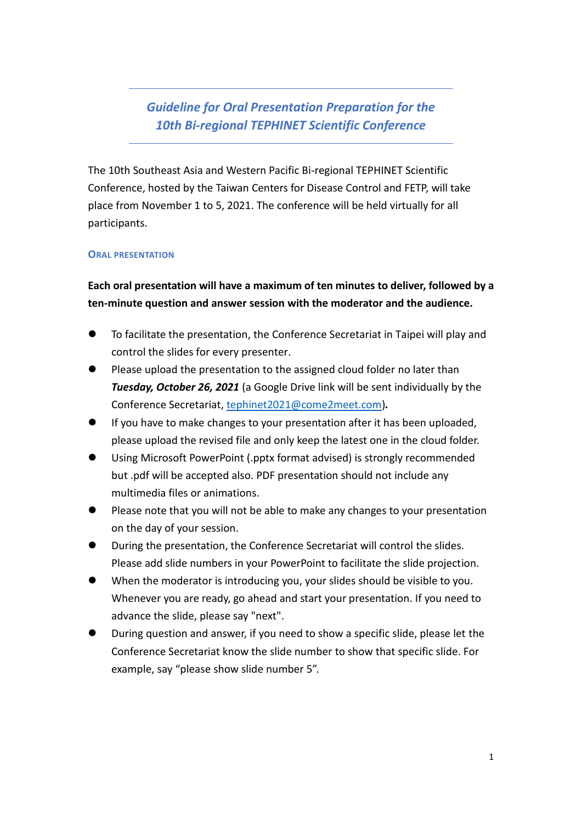*Guideline for Oral Presentation Preparation for the 10th Bi-regional TEPHINET Scientific Conference*

The 10th Southeast Asia and Western Pacific Bi-regional TEPHINET Scientific Conference, hosted by the Taiwan Centers for Disease Control and FETP, will take place from November 1 to 5, 2021. The conference will be held virtually for all participants.

#### **ORAL PRESENTATION**

**Each oral presentation will have a maximum of ten minutes to deliver, followed by a ten-minute question and answer session with the moderator and the audience.**

- ⚫ To facilitate the presentation, the Conference Secretariat in Taipei will play and control the slides for every presenter.
- Please upload the presentation to the assigned cloud folder no later than *Tuesday, October 26, 2021* (a Google Drive link will be sent individually by the Conference Secretariat, [tephinet2021@come2meet.com\)](mailto:tephinet2021@come2meet.com)*.*
- ⚫ If you have to make changes to your presentation after it has been uploaded, please upload the revised file and only keep the latest one in the cloud folder.
- ⚫ Using Microsoft PowerPoint (.pptx format advised) is strongly recommended but .pdf will be accepted also. PDF presentation should not include any multimedia files or animations.
- Please note that you will not be able to make any changes to your presentation on the day of your session.
- ⚫ During the presentation, the Conference Secretariat will control the slides. Please add slide numbers in your PowerPoint to facilitate the slide projection.
- When the moderator is introducing you, your slides should be visible to you. Whenever you are ready, go ahead and start your presentation. If you need to advance the slide, please say "next".
- ⚫ During question and answer, if you need to show a specific slide, please let the Conference Secretariat know the slide number to show that specific slide. For example, say "please show slide number 5".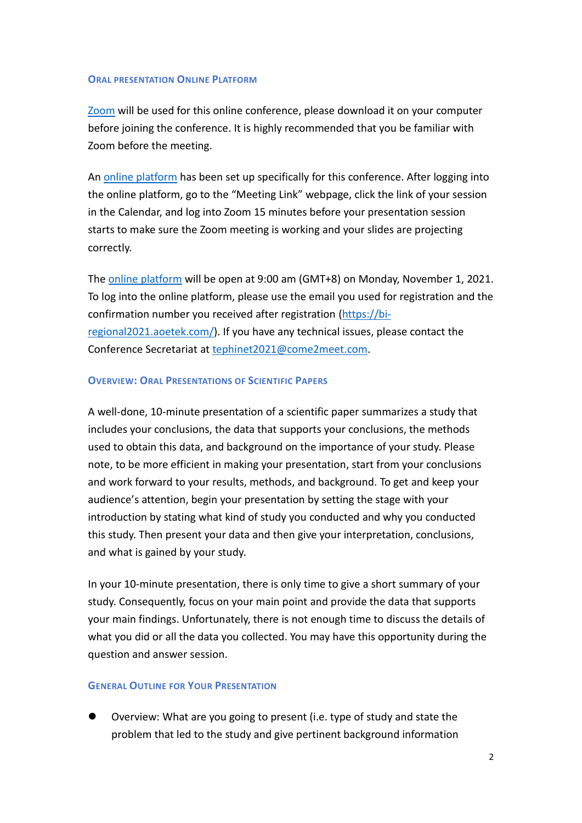#### **ORAL PRESENTATION ONLINE PLATFORM**

[Zoom](https://zoom.us/download) will be used for this online conference, please download it on your computer before joining the conference. It is highly recommended that you be familiar with Zoom before the meeting.

An online [platform](https://bi-regional2021.aoetek.com/) has been set up specifically for this conference. After logging into the online platform, go to the "Meeting Link" webpage, click the link of your session in the Calendar, and log into Zoom 15 minutes before your presentation session starts to make sure the Zoom meeting is working and your slides are projecting correctly.

The [online platform](https://bi-regional2021.aoetek.com/) will be open at 9:00 am (GMT+8) on Monday, November 1, 2021. To log into the online platform, please use the email you used for registration and the confirmation number you received after registration [\(https://bi](https://bi-regional2021.aoetek.com/)[regional2021.aoetek.com/\)](https://bi-regional2021.aoetek.com/). If you have any technical issues, please contact the Conference Secretariat at [tephinet2021@come2meet.com](mailto:tephinet2021@come2meet.com).

### **OVERVIEW: ORAL PRESENTATIONS OF SCIENTIFIC PAPERS**

A well-done, 10-minute presentation of a scientific paper summarizes a study that includes your conclusions, the data that supports your conclusions, the methods used to obtain this data, and background on the importance of your study. Please note, to be more efficient in making your presentation, start from your conclusions and work forward to your results, methods, and background. To get and keep your audience's attention, begin your presentation by setting the stage with your introduction by stating what kind of study you conducted and why you conducted this study. Then present your data and then give your interpretation, conclusions, and what is gained by your study.

In your 10-minute presentation, there is only time to give a short summary of your study. Consequently, focus on your main point and provide the data that supports your main findings. Unfortunately, there is not enough time to discuss the details of what you did or all the data you collected. You may have this opportunity during the question and answer session.

### **GENERAL OUTLINE FOR YOUR PRESENTATION**

⚫ Overview: What are you going to present (i.e. type of study and state the problem that led to the study and give pertinent background information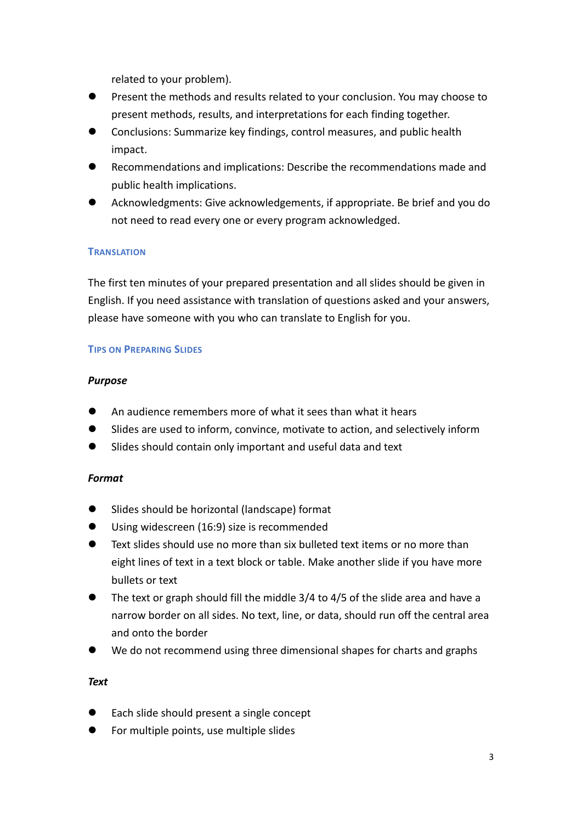related to your problem).

- ⚫ Present the methods and results related to your conclusion. You may choose to present methods, results, and interpretations for each finding together.
- ⚫ Conclusions: Summarize key findings, control measures, and public health impact.
- ⚫ Recommendations and implications: Describe the recommendations made and public health implications.
- ⚫ Acknowledgments: Give acknowledgements, if appropriate. Be brief and you do not need to read every one or every program acknowledged.

# **TRANSLATION**

The first ten minutes of your prepared presentation and all slides should be given in English. If you need assistance with translation of questions asked and your answers, please have someone with you who can translate to English for you.

### **TIPS ON PREPARING SLIDES**

# *Purpose*

- An audience remembers more of what it sees than what it hears
- Slides are used to inform, convince, motivate to action, and selectively inform
- Slides should contain only important and useful data and text

# *Format*

- ⚫ Slides should be horizontal (landscape) format
- Using widescreen (16:9) size is recommended
- ⚫ Text slides should use no more than six bulleted text items or no more than eight lines of text in a text block or table. Make another slide if you have more bullets or text
- ⚫ The text or graph should fill the middle 3/4 to 4/5 of the slide area and have a narrow border on all sides. No text, line, or data, should run off the central area and onto the border
- We do not recommend using three dimensional shapes for charts and graphs

### *Text*

- Each slide should present a single concept
- ⚫ For multiple points, use multiple slides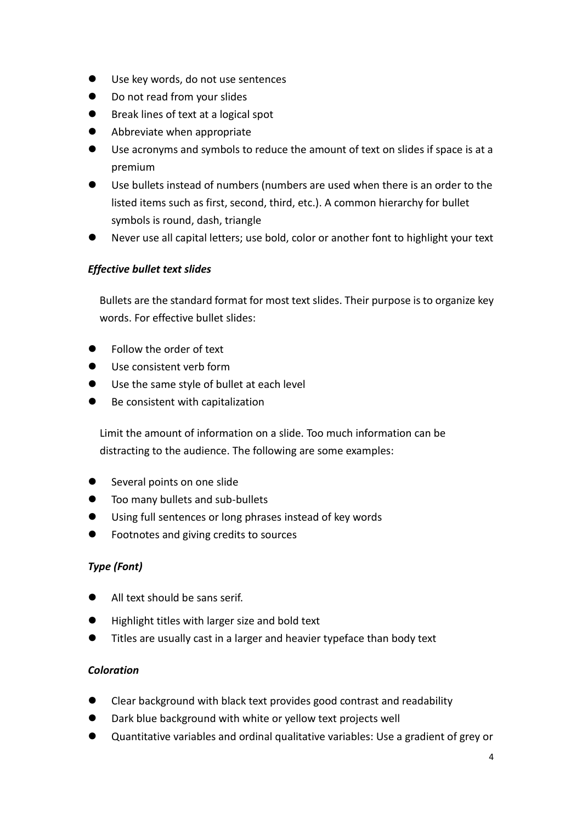- Use key words, do not use sentences
- ⚫ Do not read from your slides
- ⚫ Break lines of text at a logical spot
- ⚫ Abbreviate when appropriate
- ⚫ Use acronyms and symbols to reduce the amount of text on slides if space is at a premium
- ⚫ Use bullets instead of numbers (numbers are used when there is an order to the listed items such as first, second, third, etc.). A common hierarchy for bullet symbols is round, dash, triangle
- ⚫ Never use all capital letters; use bold, color or another font to highlight your text

# *Effective bullet text slides*

Bullets are the standard format for most text slides. Their purpose is to organize key words. For effective bullet slides:

- ⚫ Follow the order of text
- Use consistent verb form
- Use the same style of bullet at each level
- Be consistent with capitalization

Limit the amount of information on a slide. Too much information can be distracting to the audience. The following are some examples:

- Several points on one slide
- ⚫ Too many bullets and sub-bullets
- ⚫ Using full sentences or long phrases instead of key words
- ⚫ Footnotes and giving credits to sources

# *Type (Font)*

- ⚫ All text should be sans serif.
- ⚫ Highlight titles with larger size and bold text
- ⚫ Titles are usually cast in a larger and heavier typeface than body text

# *Coloration*

- ⚫ Clear background with black text provides good contrast and readability
- ⚫ Dark blue background with white or yellow text projects well
- Quantitative variables and ordinal qualitative variables: Use a gradient of grey or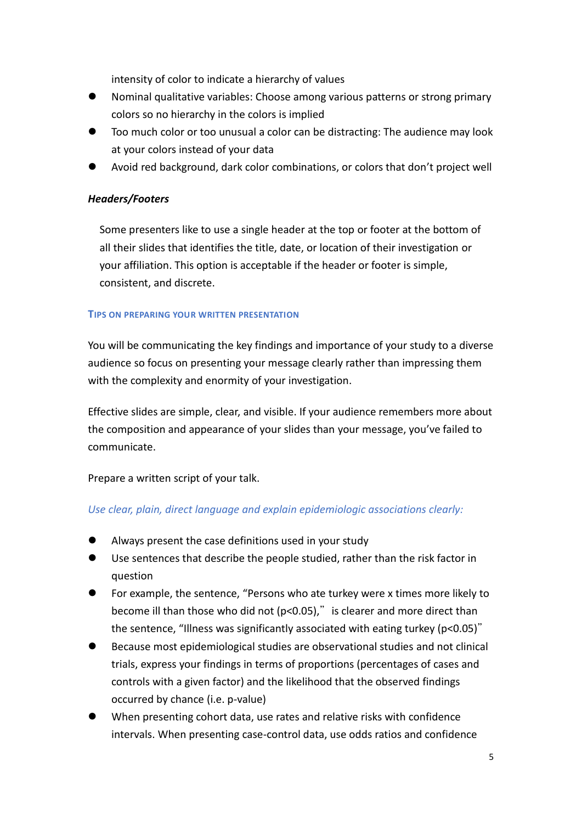intensity of color to indicate a hierarchy of values

- ⚫ Nominal qualitative variables: Choose among various patterns or strong primary colors so no hierarchy in the colors is implied
- ⚫ Too much color or too unusual a color can be distracting: The audience may look at your colors instead of your data
- ⚫ Avoid red background, dark color combinations, or colors that don't project well

### *Headers/Footers*

Some presenters like to use a single header at the top or footer at the bottom of all their slides that identifies the title, date, or location of their investigation or your affiliation. This option is acceptable if the header or footer is simple, consistent, and discrete.

### **TIPS ON PREPARING YOUR WRITTEN PRESENTATION**

You will be communicating the key findings and importance of your study to a diverse audience so focus on presenting your message clearly rather than impressing them with the complexity and enormity of your investigation.

Effective slides are simple, clear, and visible. If your audience remembers more about the composition and appearance of your slides than your message, you've failed to communicate.

Prepare a written script of your talk.

# *Use clear, plain, direct language and explain epidemiologic associations clearly:*

- ⚫ Always present the case definitions used in your study
- ⚫ Use sentences that describe the people studied, rather than the risk factor in question
- ⚫ For example, the sentence, "Persons who ate turkey were x times more likely to become ill than those who did not ( $p<0.05$ )," is clearer and more direct than the sentence, "Illness was significantly associated with eating turkey (p<0.05)"
- ⚫ Because most epidemiological studies are observational studies and not clinical trials, express your findings in terms of proportions (percentages of cases and controls with a given factor) and the likelihood that the observed findings occurred by chance (i.e. p-value)
- ⚫ When presenting cohort data, use rates and relative risks with confidence intervals. When presenting case-control data, use odds ratios and confidence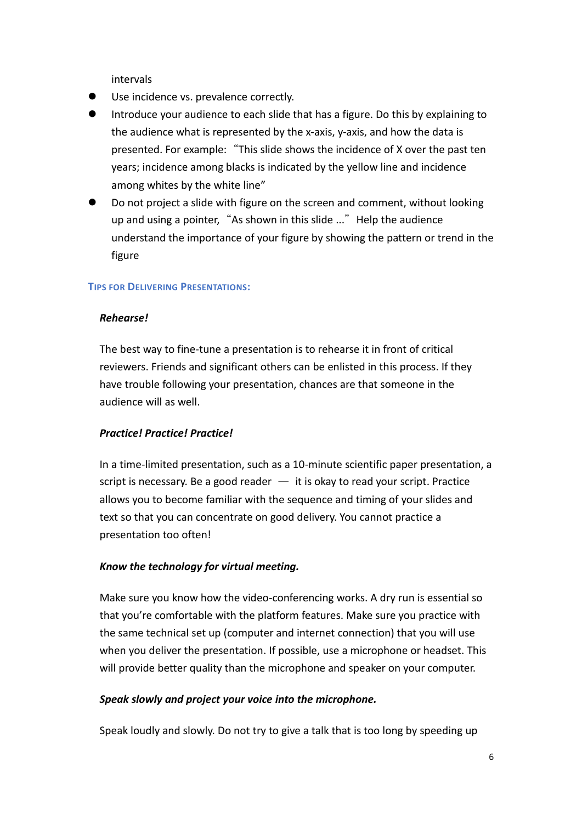intervals

- Use incidence vs. prevalence correctly.
- ⚫ Introduce your audience to each slide that has a figure. Do this by explaining to the audience what is represented by the x-axis, y-axis, and how the data is presented. For example:"This slide shows the incidence of X over the past ten years; incidence among blacks is indicated by the yellow line and incidence among whites by the white line"
- ⚫ Do not project a slide with figure on the screen and comment, without looking up and using a pointer, "As shown in this slide ..." Help the audience understand the importance of your figure by showing the pattern or trend in the figure

### **TIPS FOR DELIVERING PRESENTATIONS:**

### *Rehearse!*

The best way to fine-tune a presentation is to rehearse it in front of critical reviewers. Friends and significant others can be enlisted in this process. If they have trouble following your presentation, chances are that someone in the audience will as well.

# *Practice! Practice! Practice!*

In a time-limited presentation, such as a 10-minute scientific paper presentation, a script is necessary. Be a good reader  $-$  it is okay to read your script. Practice allows you to become familiar with the sequence and timing of your slides and text so that you can concentrate on good delivery. You cannot practice a presentation too often!

# *Know the technology for virtual meeting.*

Make sure you know how the video-conferencing works. A dry run is essential so that you're comfortable with the platform features. Make sure you practice with the same technical set up (computer and internet connection) that you will use when you deliver the presentation. If possible, use a microphone or headset. This will provide better quality than the microphone and speaker on your computer.

### *Speak slowly and project your voice into the microphone.*

Speak loudly and slowly. Do not try to give a talk that is too long by speeding up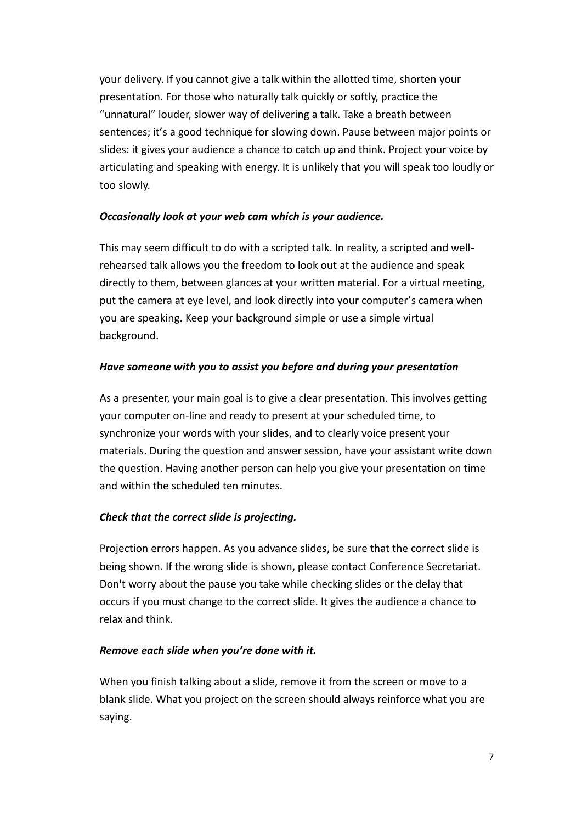your delivery. If you cannot give a talk within the allotted time, shorten your presentation. For those who naturally talk quickly or softly, practice the "unnatural" louder, slower way of delivering a talk. Take a breath between sentences; it's a good technique for slowing down. Pause between major points or slides: it gives your audience a chance to catch up and think. Project your voice by articulating and speaking with energy. It is unlikely that you will speak too loudly or too slowly.

# *Occasionally look at your web cam which is your audience.*

This may seem difficult to do with a scripted talk. In reality, a scripted and wellrehearsed talk allows you the freedom to look out at the audience and speak directly to them, between glances at your written material. For a virtual meeting, put the camera at eye level, and look directly into your computer's camera when you are speaking. Keep your background simple or use a simple virtual background.

### *Have someone with you to assist you before and during your presentation*

As a presenter, your main goal is to give a clear presentation. This involves getting your computer on-line and ready to present at your scheduled time, to synchronize your words with your slides, and to clearly voice present your materials. During the question and answer session, have your assistant write down the question. Having another person can help you give your presentation on time and within the scheduled ten minutes.

# *Check that the correct slide is projecting.*

Projection errors happen. As you advance slides, be sure that the correct slide is being shown. If the wrong slide is shown, please contact Conference Secretariat. Don't worry about the pause you take while checking slides or the delay that occurs if you must change to the correct slide. It gives the audience a chance to relax and think.

### *Remove each slide when you're done with it.*

When you finish talking about a slide, remove it from the screen or move to a blank slide. What you project on the screen should always reinforce what you are saying.